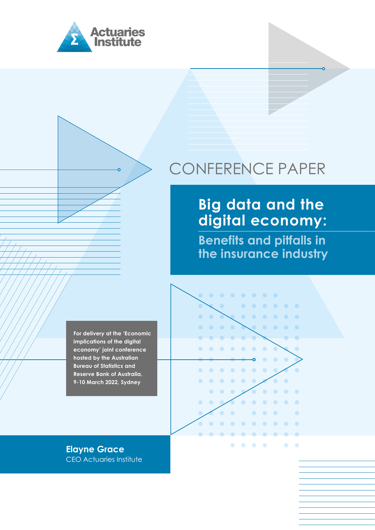

# CONFERENCE PAPER

# **Big data and the digital economy:**

**Benefits and pitfalls in the insurance industry**

**For delivery at the 'Economic implications of the digital economy' joint conference hosted by the Australian Bureau of Statistics and Reserve Bank of Australia, 9-10 March 2022, Sydney**

**Elayne Grace** CEO Actuaries Institute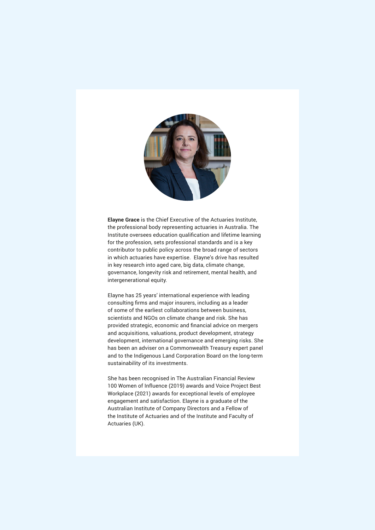

**Elayne Grace** is the Chief Executive of the Actuaries Institute, the professional body representing actuaries in Australia. The Institute oversees education qualification and lifetime learning for the profession, sets professional standards and is a key contributor to public policy across the broad range of sectors in which actuaries have expertise. Elayne's drive has resulted in key research into aged care, big data, climate change, governance, longevity risk and retirement, mental health, and intergenerational equity.

Elayne has 25 years' international experience with leading consulting firms and major insurers, including as a leader of some of the earliest collaborations between business, scientists and NGOs on climate change and risk. She has provided strategic, economic and financial advice on mergers and acquisitions, valuations, product development, strategy development, international governance and emerging risks. She has been an adviser on a Commonwealth Treasury expert panel and to the Indigenous Land Corporation Board on the long-term sustainability of its investments.

She has been recognised in The Australian Financial Review 100 Women of Influence (2019) awards and Voice Project Best Workplace (2021) awards for exceptional levels of employee engagement and satisfaction. Elayne is a graduate of the Australian Institute of Company Directors and a Fellow of the Institute of Actuaries and of the Institute and Faculty of Actuaries (UK).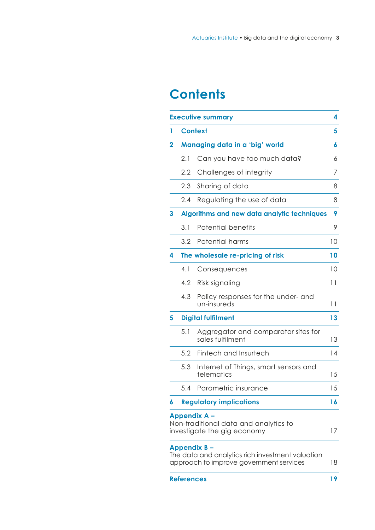# **Contents**

| <b>Executive summary</b> |                                                  |                                                                                                            | 4      |
|--------------------------|--------------------------------------------------|------------------------------------------------------------------------------------------------------------|--------|
| 1                        | <b>Context</b><br>Managing data in a 'big' world |                                                                                                            | 5<br>6 |
| 2                        |                                                  |                                                                                                            |        |
|                          | 2.1                                              | Can you have too much data?                                                                                | 6      |
|                          | 2.2                                              | Challenges of integrity                                                                                    | 7      |
|                          | 2.3                                              | Sharing of data                                                                                            | 8      |
|                          | 2.4                                              | Regulating the use of data                                                                                 | 8      |
| 3                        | Algorithms and new data analytic techniques      |                                                                                                            | 9      |
|                          | 3.1                                              | <b>Potential benefits</b>                                                                                  | 9      |
|                          | 3.2                                              | Potential harms                                                                                            | 10     |
| 4                        | The wholesale re-pricing of risk                 |                                                                                                            | 10     |
|                          | 4.1                                              | Consequences                                                                                               | 10     |
|                          | 4.2                                              | Risk signaling                                                                                             | 11     |
|                          | 4.3                                              | Policy responses for the under- and<br>un-insureds                                                         | 11     |
| 5                        | <b>Digital fulfilment</b>                        |                                                                                                            | 13     |
|                          | 5.1                                              | Aggregator and comparator sites for<br>sales fulfilment                                                    | 13     |
|                          | 5.2                                              | Fintech and Insurtech                                                                                      | 14     |
|                          | 5.3                                              | Internet of Things, smart sensors and<br>telematics                                                        | 15     |
|                          | 5.4                                              | Parametric insurance                                                                                       | 15     |
| 6                        |                                                  | <b>Regulatory implications</b>                                                                             | 16     |
|                          |                                                  | <b>Appendix A -</b><br>Non-traditional data and analytics to<br>investigate the gig economy                | 17     |
|                          |                                                  | Appendix B-<br>The data and analytics rich investment valuation<br>approach to improve government services | 18     |
|                          | <b>References</b>                                |                                                                                                            | 19     |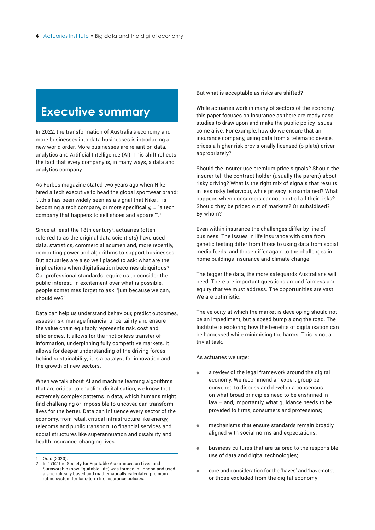# <span id="page-3-0"></span>**Executive summary**

In 2022, the transformation of Australia's economy and more businesses into data businesses is introducing a new world order. More businesses are reliant on data, analytics and Artificial Intelligence (AI). This shift reflects the fact that every company is, in many ways, a data and analytics company.

As Forbes magazine stated two years ago when Nike hired a tech executive to head the global sportwear brand: '...this has been widely seen as a signal that Nike … is becoming a tech company, or more specifically, … "a tech company that happens to sell shoes and apparel"'.**<sup>1</sup>**

Since at least the 18th century**<sup>2</sup>**, actuaries (often referred to as the original data scientists) have used data, statistics, commercial acumen and, more recently, computing power and algorithms to support businesses. But actuaries are also well placed to ask: what are the implications when digitalisation becomes ubiquitous? Our professional standards require us to consider the public interest. In excitement over what is possible, people sometimes forget to ask: 'just because we can, should we?'

Data can help us understand behaviour, predict outcomes, assess risk, manage financial uncertainty and ensure the value chain equitably represents risk, cost and efficiencies. It allows for the frictionless transfer of information, underpinning fully competitive markets. It allows for deeper understanding of the driving forces behind sustainability; it is a catalyst for innovation and the growth of new sectors.

When we talk about AI and machine learning algorithms that are critical to enabling digitalisation, we know that extremely complex patterns in data, which humans might find challenging or impossible to uncover, can transform lives for the better. Data can influence every sector of the economy, from retail, critical infrastructure like energy, telecoms and public transport, to financial services and social structures like superannuation and disability and health insurance, changing lives.

But what is acceptable as risks are shifted?

While actuaries work in many of sectors of the economy, this paper focuses on insurance as there are ready case studies to draw upon and make the public policy issues come alive. For example, how do we ensure that an insurance company, using data from a telematic device, prices a higher-risk provisionally licensed (p-plate) driver appropriately?

Should the insurer use premium price signals? Should the insurer tell the contract holder (usually the parent) about risky driving? What is the right mix of signals that results in less risky behaviour, while privacy is maintained? What happens when consumers cannot control all their risks? Should they be priced out of markets? Or subsidised? By whom?

Even within insurance the challenges differ by line of business. The issues in life insurance with data from genetic testing differ from those to using data from social media feeds, and those differ again to the challenges in home buildings insurance and climate change.

The bigger the data, the more safeguards Australians will need. There are important questions around fairness and equity that we must address. The opportunities are vast. We are optimistic.

The velocity at which the market is developing should not be an impediment, but a speed bump along the road. The Institute is exploring how the benefits of digitalisation can be harnessed while minimising the harms. This is not a trivial task.

As actuaries we urge:

- $\bullet$ a review of the legal framework around the digital economy. We recommend an expert group be convened to discuss and develop a consensus on what broad principles need to be enshrined in law – and, importantly, what guidance needs to be provided to firms, consumers and professions;
- $\bullet$ mechanisms that ensure standards remain broadly aligned with social norms and expectations;
- $\bullet$ business cultures that are tailored to the responsible use of data and digital technologies;
- care and consideration for the 'haves' and 'have-nots',  $\bullet$ or those excluded from the digital economy –

Orad (2020).

In 1762 the Society for Equitable Assurances on Lives and Survivorship (now Equitable Life) was formed in London and used a scientifically based and mathematically calculated premium rating system for long-term life insurance policies.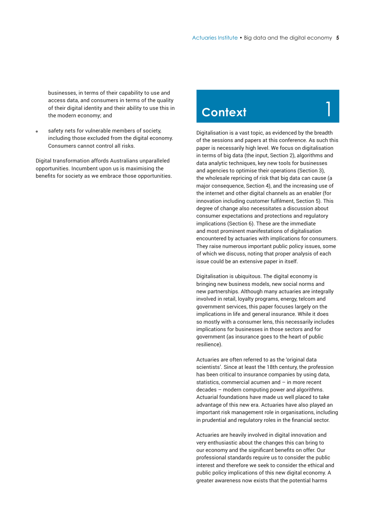1

<span id="page-4-0"></span>businesses, in terms of their capability to use and access data, and consumers in terms of the quality of their digital identity and their ability to use this in the modern economy; and

safety nets for vulnerable members of society, including those excluded from the digital economy. Consumers cannot control all risks.

Digital transformation affords Australians unparalleled opportunities. Incumbent upon us is maximising the benefits for society as we embrace those opportunities.

# **Context**

Digitalisation is a vast topic, as evidenced by the breadth of the sessions and papers at this conference. As such this paper is necessarily high level. We focus on digitalisation in terms of big data (the input, Section 2), algorithms and data analytic techniques, key new tools for businesses and agencies to optimise their operations (Section 3), the wholesale repricing of risk that big data can cause (a major consequence, Section 4), and the increasing use of the internet and other digital channels as an enabler (for innovation including customer fulfilment, Section 5). This degree of change also necessitates a discussion about consumer expectations and protections and regulatory implications (Section 6). These are the immediate and most prominent manifestations of digitalisation encountered by actuaries with implications for consumers. They raise numerous important public policy issues, some of which we discuss, noting that proper analysis of each issue could be an extensive paper in itself.

Digitalisation is ubiquitous. The digital economy is bringing new business models, new social norms and new partnerships. Although many actuaries are integrally involved in retail, loyalty programs, energy, telcom and government services, this paper focuses largely on the implications in life and general insurance. While it does so mostly with a consumer lens, this necessarily includes implications for businesses in those sectors and for government (as insurance goes to the heart of public resilience).

Actuaries are often referred to as the 'original data scientists'. Since at least the 18th century, the profession has been critical to insurance companies by using data, statistics, commercial acumen and – in more recent decades – modern computing power and algorithms. Actuarial foundations have made us well placed to take advantage of this new era. Actuaries have also played an important risk management role in organisations, including in prudential and regulatory roles in the financial sector.

Actuaries are heavily involved in digital innovation and very enthusiastic about the changes this can bring to our economy and the significant benefits on offer. Our professional standards require us to consider the public interest and therefore we seek to consider the ethical and public policy implications of this new digital economy. A greater awareness now exists that the potential harms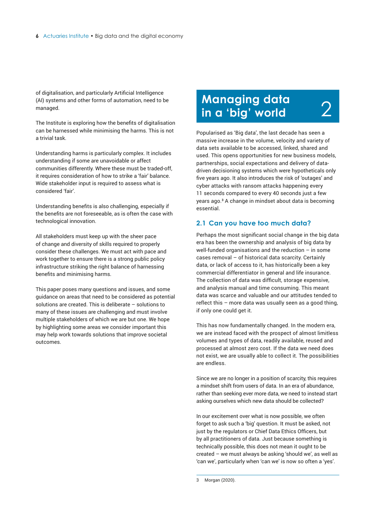<span id="page-5-0"></span>of digitalisation, and particularly Artificial Intelligence (AI) systems and other forms of automation, need to be managed.

The Institute is exploring how the benefits of digitalisation can be harnessed while minimising the harms. This is not a trivial task.

Understanding harms is particularly complex. It includes understanding if some are unavoidable or affect communities differently. Where these must be traded-off, it requires consideration of how to strike a 'fair' balance. Wide stakeholder input is required to assess what is considered 'fair'.

Understanding benefits is also challenging, especially if the benefits are not foreseeable, as is often the case with technological innovation.

All stakeholders must keep up with the sheer pace of change and diversity of skills required to properly consider these challenges. We must act with pace and work together to ensure there is a strong public policy infrastructure striking the right balance of harnessing benefits and minimising harms.

This paper poses many questions and issues, and some guidance on areas that need to be considered as potential solutions are created. This is deliberate – solutions to many of these issues are challenging and must involve multiple stakeholders of which we are but one. We hope by highlighting some areas we consider important this may help work towards solutions that improve societal outcomes.

# **Managing data in a 'big' world**

Popularised as 'Big data', the last decade has seen a massive increase in the volume, velocity and variety of data sets available to be accessed, linked, shared and used. This opens opportunities for new business models, partnerships, social expectations and delivery of datadriven decisioning systems which were hypotheticals only five years ago. It also introduces the risk of 'outages' and cyber attacks with ransom attacks happening every 11 seconds compared to every 40 seconds just a few years ago.**<sup>3</sup>** A change in mindset about data is becoming essential.

2

#### **2.1 Can you have too much data?**

Perhaps the most significant social change in the big data era has been the ownership and analysis of big data by well-funded organisations and the reduction – in some cases removal – of historical data scarcity. Certainly data, or lack of access to it, has historically been a key commercial differentiator in general and life insurance. The collection of data was difficult, storage expensive, and analysis manual and time consuming. This meant data was scarce and valuable and our attitudes tended to reflect this – more data was usually seen as a good thing, if only one could get it.

This has now fundamentally changed. In the modern era, we are instead faced with the prospect of almost limitless volumes and types of data, readily available, reused and processed at almost zero cost. If the data we need does not exist, we are usually able to collect it. The possibilities are endless.

Since we are no longer in a position of scarcity, this requires a mindset shift from users of data. In an era of abundance, rather than seeking ever more data, we need to instead start asking ourselves which new data should be collected?

In our excitement over what is now possible, we often forget to ask such a 'big' question. It must be asked, not just by the regulators or Chief Data Ethics Officers, but by all practitioners of data. Just because something is technically possible, this does not mean it ought to be created – we must always be asking 'should we', as well as 'can we', particularly when 'can we' is now so often a 'yes'.

<sup>3</sup> Morgan (2020).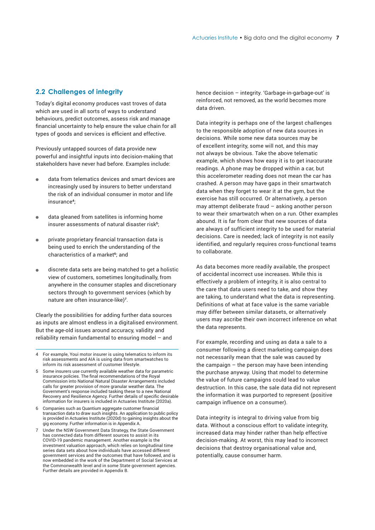#### <span id="page-6-0"></span>**2.2 Challenges of integrity**

Today's digital economy produces vast troves of data which are used in all sorts of ways to understand behaviours, predict outcomes, assess risk and manage financial uncertainty to help ensure the value chain for all types of goods and services is efficient and effective.

Previously untapped sources of data provide new powerful and insightful inputs into decision-making that stakeholders have never had before. Examples include:

- data from telematics devices and smart devices are increasingly used by insurers to better understand the risk of an individual consumer in motor and life insurance**<sup>4</sup>**;
- data gleaned from satellites is informing home insurer assessments of natural disaster risk**<sup>5</sup>**;
- private proprietary financial transaction data is being used to enrich the understanding of the characteristics of a market**<sup>6</sup>**; and
- discrete data sets are being matched to get a holistic view of customers, sometimes longitudinally, from anywhere in the consumer staples and discretionary sectors through to government services (which by nature are often insurance-like)**<sup>7</sup>**.

Clearly the possibilities for adding further data sources as inputs are almost endless in a digitalised environment. But the age-old issues around accuracy, validity and reliability remain fundamental to ensuring model – and

- 5 Some insurers use currently available weather data for parametric insurance policies. The final recommendations of the Royal Commission into National Natural Disaster Arrangements included calls for greater provision of more granular weather data. The Government's response included tasking these to a new National Recovery and Resilience Agency. Further details of specific desirable information for insurers is included in Actuaries Institute (2020a).
- 6 Companies such as Quantium aggregate customer financial transaction data to draw such insights. An application to public policy is provided in Actuaries Institute (2020d) to gaining insights about the gig economy. Further information is in Appendix A.
- Under the NSW Government Data Strategy, the State Government has connected data from different sources to assist in its COVID-19 pandemic management. Another example is the investment valuation approach, which relies on longitudinal time series data sets about how individuals have accessed different government services and the outcomes that have followed, and is now embedded in the work of the Department of Social Services at the Commonwealth level and in some State government agencies. Further details are provided in Appendix B.

hence decision – integrity. 'Garbage-in-garbage-out' is reinforced, not removed, as the world becomes more data driven.

Data integrity is perhaps one of the largest challenges to the responsible adoption of new data sources in decisions. While some new data sources may be of excellent integrity, some will not, and this may not always be obvious. Take the above telematic example, which shows how easy it is to get inaccurate readings. A phone may be dropped within a car, but this accelerometer reading does not mean the car has crashed. A person may have gaps in their smartwatch data when they forget to wear it at the gym, but the exercise has still occurred. Or alternatively, a person may attempt deliberate fraud – asking another person to wear their smartwatch when on a run. Other examples abound. It is far from clear that new sources of data are always of sufficient integrity to be used for material decisions. Care is needed; lack of integrity is not easily identified, and regularly requires cross-functional teams to collaborate.

As data becomes more readily available, the prospect of accidental incorrect use increases. While this is effectively a problem of integrity, it is also central to the care that data users need to take, and show they are taking, to understand what the data is representing. Definitions of what at face value is the same variable may differ between similar datasets, or alternatively users may ascribe their own incorrect inference on what the data represents.

For example, recording and using as data a sale to a consumer following a direct marketing campaign does not necessarily mean that the sale was caused by the campaign – the person may have been intending the purchase anyway. Using that model to determine the value of future campaigns could lead to value destruction. In this case, the sale data did not represent the information it was purported to represent (positive campaign influence on a consumer).

Data integrity is integral to driving value from big data. Without a conscious effort to validate integrity, increased data may hinder rather than help effective decision-making. At worst, this may lead to incorrect decisions that destroy organisational value and, potentially, cause consumer harm.

<sup>4</sup> For example, Youi motor insurer is using telematics to inform its risk assessments and AIA is using data from smartwatches to inform its risk assessment of customer lifestyle.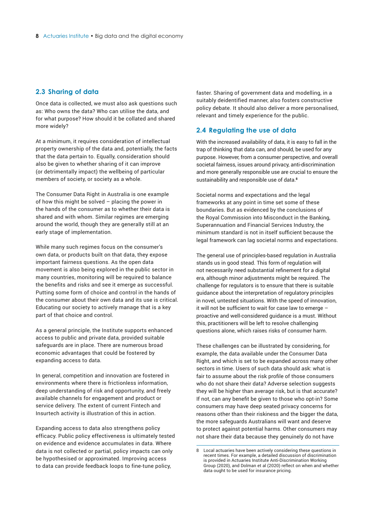#### <span id="page-7-0"></span>**2.3 Sharing of data**

Once data is collected, we must also ask questions such as: Who owns the data? Who can utilise the data, and for what purpose? How should it be collated and shared more widely?

At a minimum, it requires consideration of intellectual property ownership of the data and, potentially, the facts that the data pertain to. Equally, consideration should also be given to whether sharing of it can improve (or detrimentally impact) the wellbeing of particular members of society, or society as a whole.

The Consumer Data Right in Australia is one example of how this might be solved – placing the power in the hands of the consumer as to whether their data is shared and with whom. Similar regimes are emerging around the world, though they are generally still at an early stage of implementation.

While many such regimes focus on the consumer's own data, or products built on that data, they expose important fairness questions. As the open data movement is also being explored in the public sector in many countries, monitoring will be required to balance the benefits and risks and see it emerge as successful. Putting some form of choice and control in the hands of the consumer about their own data and its use is critical. Educating our society to actively manage that is a key part of that choice and control.

As a general principle, the Institute supports enhanced access to public and private data, provided suitable safeguards are in place. There are numerous broad economic advantages that could be fostered by expanding access to data.

In general, competition and innovation are fostered in environments where there is frictionless information, deep understanding of risk and opportunity, and freely available channels for engagement and product or service delivery. The extent of current Fintech and Insurtech activity is illustration of this in action.

Expanding access to data also strengthens policy efficacy. Public policy effectiveness is ultimately tested on evidence and evidence accumulates in data. Where data is not collected or partial, policy impacts can only be hypothesised or approximated. Improving access to data can provide feedback loops to fine-tune policy,

faster. Sharing of government data and modelling, in a suitably deidentified manner, also fosters constructive policy debate. It should also deliver a more personalised, relevant and timely experience for the public.

#### **2.4 Regulating the use of data**

With the increased availability of data, it is easy to fall in the trap of thinking that data can, and should, be used for any purpose. However, from a consumer perspective, and overall societal fairness, issues around privacy, anti-discrimination and more generally responsible use are crucial to ensure the sustainability and responsible use of data.**<sup>8</sup>**

Societal norms and expectations and the legal frameworks at any point in time set some of these boundaries. But as evidenced by the conclusions of the Royal Commission into Misconduct in the Banking, Superannuation and Financial Services Industry, the minimum standard is not in itself sufficient because the legal framework can lag societal norms and expectations.

The general use of principles-based regulation in Australia stands us in good stead. This form of regulation will not necessarily need substantial refinement for a digital era, although minor adjustments might be required. The challenge for regulators is to ensure that there is suitable guidance about the interpretation of regulatory principles in novel, untested situations. With the speed of innovation, it will not be sufficient to wait for case law to emerge – proactive and well-considered guidance is a must. Without this, practitioners will be left to resolve challenging questions alone, which raises risks of consumer harm.

These challenges can be illustrated by considering, for example, the data available under the Consumer Data Right, and which is set to be expanded across many other sectors in time. Users of such data should ask: what is fair to assume about the risk profile of those consumers who do not share their data? Adverse selection suggests they will be higher than average risk, but is that accurate? If not, can any benefit be given to those who opt-in? Some consumers may have deep seated privacy concerns for reasons other than their riskiness and the bigger the data, the more safeguards Australians will want and deserve to protect against potential harms. Other consumers may not share their data because they genuinely do not have

<sup>8</sup> Local actuaries have been actively considering these questions in recent times. For example, a detailed discussion of discrimination is provided in Actuaries Institute Anti-Discrimination Working Group (2020), and Dolman et al (2020) reflect on when and whether data ought to be used for insurance pricing.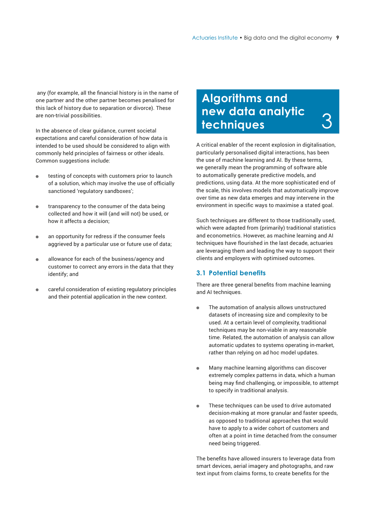<span id="page-8-0"></span> any (for example, all the financial history is in the name of one partner and the other partner becomes penalised for this lack of history due to separation or divorce). These are non-trivial possibilities.

In the absence of clear guidance, current societal expectations and careful consideration of how data is intended to be used should be considered to align with commonly held principles of fairness or other ideals. Common suggestions include:

- testing of concepts with customers prior to launch of a solution, which may involve the use of officially sanctioned 'regulatory sandboxes';
- transparency to the consumer of the data being collected and how it will (and will not) be used, or how it affects a decision;
- an opportunity for redress if the consumer feels aggrieved by a particular use or future use of data;
- allowance for each of the business/agency and  $\bullet$ customer to correct any errors in the data that they identify; and
- careful consideration of existing regulatory principles and their potential application in the new context.

#### **Algorithms and new data analytic techniques**  3

A critical enabler of the recent explosion in digitalisation, particularly personalised digital interactions, has been the use of machine learning and AI. By these terms, we generally mean the programming of software able to automatically generate predictive models, and predictions, using data. At the more sophisticated end of the scale, this involves models that automatically improve over time as new data emerges and may intervene in the environment in specific ways to maximise a stated goal.

Such techniques are different to those traditionally used, which were adapted from (primarily) traditional statistics and econometrics. However, as machine learning and AI techniques have flourished in the last decade, actuaries are leveraging them and leading the way to support their clients and employers with optimised outcomes.

#### **3.1 Potential benefits**

There are three general benefits from machine learning and AI techniques.

- The automation of analysis allows unstructured datasets of increasing size and complexity to be used. At a certain level of complexity, traditional techniques may be non-viable in any reasonable time. Related, the automation of analysis can allow automatic updates to systems operating in-market, rather than relying on ad hoc model updates.
- Many machine learning algorithms can discover  $\bullet$ extremely complex patterns in data, which a human being may find challenging, or impossible, to attempt to specify in traditional analysis.
- These techniques can be used to drive automated  $\blacksquare$ decision-making at more granular and faster speeds, as opposed to traditional approaches that would have to apply to a wider cohort of customers and often at a point in time detached from the consumer need being triggered.

The benefits have allowed insurers to leverage data from smart devices, aerial imagery and photographs, and raw text input from claims forms, to create benefits for the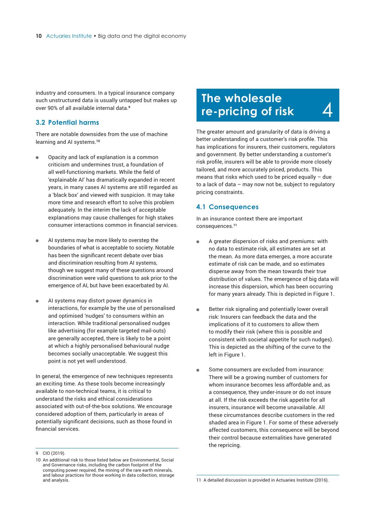<span id="page-9-0"></span>industry and consumers. In a typical insurance company such unstructured data is usually untapped but makes up over 90% of all available internal data.**<sup>9</sup>**

#### **3.2 Potential harms**

There are notable downsides from the use of machine learning and AI systems.**<sup>10</sup>**

- Opacity and lack of explanation is a common criticism and undermines trust, a foundation of all well-functioning markets. While the field of 'explainable AI' has dramatically expanded in recent years, in many cases AI systems are still regarded as a 'black box' and viewed with suspicion. It may take more time and research effort to solve this problem adequately. In the interim the lack of acceptable explanations may cause challenges for high stakes consumer interactions common in financial services.
- AI systems may be more likely to overstep the boundaries of what is acceptable to society. Notable has been the significant recent debate over bias and discrimination resulting from AI systems, though we suggest many of these questions around discrimination were valid questions to ask prior to the emergence of AI, but have been exacerbated by AI.
- AI systems may distort power dynamics in  $\bullet$ interactions, for example by the use of personalised and optimised 'nudges' to consumers within an interaction. While traditional personalised nudges like advertising (for example targeted mail-outs) are generally accepted, there is likely to be a point at which a highly personalised behavioural nudge becomes socially unacceptable. We suggest this point is not yet well understood.

In general, the emergence of new techniques represents an exciting time. As these tools become increasingly available to non-technical teams, it is critical to understand the risks and ethical considerations associated with out-of-the-box solutions. We encourage considered adoption of them, particularly in areas of potentially significant decisions, such as those found in financial services.

### **The wholesale re-pricing of risk**

The greater amount and granularity of data is driving a better understanding of a customer's risk profile. This has implications for insurers, their customers, regulators and government. By better understanding a customer's risk profile, insurers will be able to provide more closely tailored, and more accurately priced, products. This means that risks which used to be priced equally  $-$  due to a lack of data – may now not be, subject to regulatory pricing constraints.

4

#### **4.1 Consequences**

In an insurance context there are important consequences.**<sup>11</sup>**

- A greater dispersion of risks and premiums: with no data to estimate risk, all estimates are set at the mean. As more data emerges, a more accurate estimate of risk can be made, and so estimates disperse away from the mean towards their true distribution of values. The emergence of big data will increase this dispersion, which has been occurring for many years already. This is depicted in Figure 1.
- Better risk signaling and potentially lower overall  $\bullet$ risk: Insurers can feedback the data and the implications of it to customers to allow them to modify their risk (where this is possible and consistent with societal appetite for such nudges). This is depicted as the shifting of the curve to the left in Figure 1.
- Some consumers are excluded from insurance:  $\blacksquare$ There will be a growing number of customers for whom insurance becomes less affordable and, as a consequence, they under-insure or do not insure at all. If the risk exceeds the risk appetite for all insurers, insurance will become unavailable. All these circumstances describe customers in the red shaded area in Figure 1. For some of these adversely affected customers, this consequence will be beyond their control because externalities have generated the repricing.

<sup>9</sup> CIO (2019).

<sup>10</sup> An additional risk to those listed below are Environmental, Social and Governance risks, including the carbon footprint of the computing power required, the mining of the rare earth minerals, and labour practices for those working in data collection, storage and analysis.

<sup>11</sup> A detailed discussion is provided in Actuaries Institute (2016).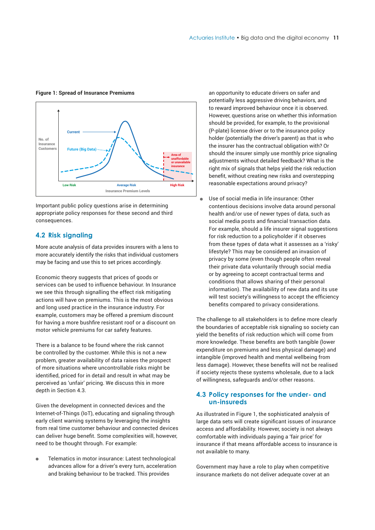#### <span id="page-10-0"></span>**Figure 1: Spread of Insurance Premiums**



Important public policy questions arise in determining appropriate policy responses for these second and third consequences.

#### **4.2 Risk signaling**

More acute analysis of data provides insurers with a lens to more accurately identify the risks that individual customers may be facing and use this to set prices accordingly.

Economic theory suggests that prices of goods or services can be used to influence behaviour. In Insurance we see this through signalling the effect risk mitigating actions will have on premiums. This is the most obvious and long used practice in the insurance industry. For example, customers may be offered a premium discount for having a more bushfire resistant roof or a discount on motor vehicle premiums for car safety features.

There is a balance to be found where the risk cannot be controlled by the customer. While this is not a new problem, greater availability of data raises the prospect of more situations where uncontrollable risks might be identified, priced for in detail and result in what may be perceived as 'unfair' pricing. We discuss this in more depth in Section 4.3.

Given the development in connected devices and the Internet-of-Things (IoT), educating and signaling through early client warning systems by leveraging the insights from real time customer behaviour and connected devices can deliver huge benefit. Some complexities will, however, need to be thought through. For example:

Telematics in motor insurance: Latest technological advances allow for a driver's every turn, acceleration and braking behaviour to be tracked. This provides

an opportunity to educate drivers on safer and potentially less aggressive driving behaviors, and to reward improved behaviour once it is observed. However, questions arise on whether this information should be provided, for example, to the provisional (P-plate) license driver or to the insurance policy holder (potentially the driver's parent) as that is who the insurer has the contractual obligation with? Or should the insurer simply use monthly price signaling adjustments without detailed feedback? What is the right mix of signals that helps yield the risk reduction benefit, without creating new risks and overstepping reasonable expectations around privacy?

Use of social media in life insurance: Other contentious decisions involve data around personal health and/or use of newer types of data, such as social media posts and financial transaction data. For example, should a life insurer signal suggestions for risk reduction to a policyholder if it observes from these types of data what it assesses as a 'risky' lifestyle? This may be considered an invasion of privacy by some (even though people often reveal their private data voluntarily through social media or by agreeing to accept contractual terms and conditions that allows sharing of their personal information). The availability of new data and its use will test society's willingness to accept the efficiency benefits compared to privacy considerations.

The challenge to all stakeholders is to define more clearly the boundaries of acceptable risk signaling so society can yield the benefits of risk reduction which will come from more knowledge. These benefits are both tangible (lower expenditure on premiums and less physical damage) and intangible (improved health and mental wellbeing from less damage). However, these benefits will not be realised if society rejects these systems wholesale, due to a lack of willingness, safeguards and/or other reasons.

#### **4.3 Policy responses for the under- and un-insureds**

As illustrated in Figure 1, the sophisticated analysis of large data sets will create significant issues of insurance access and affordability. However, society is not always comfortable with individuals paying a 'fair price' for insurance if that means affordable access to insurance is not available to many.

Government may have a role to play when competitive insurance markets do not deliver adequate cover at an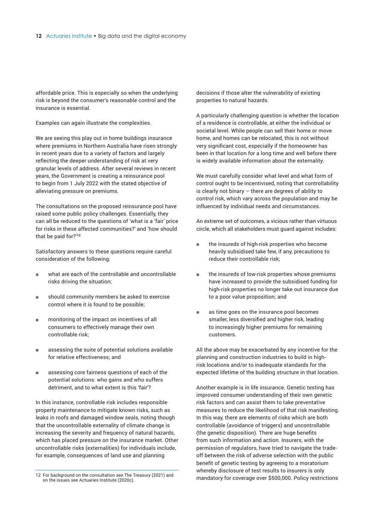affordable price. This is especially so when the underlying risk is beyond the consumer's reasonable control and the insurance is essential.

Examples can again illustrate the complexities.

We are seeing this play out in home buildings insurance where premiums in Northern Australia have risen strongly in recent years due to a variety of factors and largely reflecting the deeper understanding of risk at very granular levels of address. After several reviews in recent years, the Government is creating a reinsurance pool to begin from 1 July 2022 with the stated objective of alleviating pressure on premiums.

The consultations on the proposed reinsurance pool have raised some public policy challenges. Essentially, they can all be reduced to the questions of 'what is a 'fair' price for risks in these affected communities?' and 'how should that be paid for?'**<sup>12</sup>**

Satisfactory answers to these questions require careful consideration of the following:

- what are each of the controllable and uncontrollable  $\blacksquare$ risks driving the situation;
- should community members be asked to exercise control where it is found to be possible;
- monitoring of the impact on incentives of all consumers to effectively manage their own controllable risk;
- assessing the suite of potential solutions available for relative effectiveness; and
- assessing core fairness questions of each of the potential solutions: who gains and who suffers detriment, and to what extent is this 'fair'?

In this instance, controllable risk includes responsible property maintenance to mitigate known risks, such as leaks in roofs and damaged window seals, noting though that the uncontrollable externality of climate change is increasing the severity and frequency of natural hazards, which has placed pressure on the insurance market. Other uncontrollable risks (externalities) for individuals include, for example, consequences of land use and planning

decisions if those alter the vulnerability of existing properties to natural hazards.

A particularly challenging question is whether the location of a residence is controllable, at either the individual or societal level. While people can sell their home or move home, and homes can be relocated, this is not without very significant cost, especially if the homeowner has been in that location for a long time and well before there is widely available information about the externality.

We must carefully consider what level and what form of control ought to be incentivised, noting that controllability is clearly not binary – there are degrees of ability to control risk, which vary across the population and may be influenced by individual needs and circumstances.

An extreme set of outcomes, a vicious rather than virtuous circle, which all stakeholders must guard against includes:

- the insureds of high-risk properties who become  $\bullet$ heavily subsidised take few, if any, precautions to reduce their controllable risk;
- the insureds of low-risk properties whose premiums  $\bullet$ have increased to provide the subsidised funding for high-risk properties no longer take out insurance due to a poor value proposition; and
- $\bullet$ as time goes on the insurance pool becomes smaller, less diversified and higher risk, leading to increasingly higher premiums for remaining customers.

All the above may be exacerbated by any incentive for the planning and construction industries to build in highrisk locations and/or to inadequate standards for the expected lifetime of the building structure in that location.

Another example is in life insurance. Genetic testing has improved consumer understanding of their own genetic risk factors and can assist them to take preventative measures to reduce the likelihood of that risk manifesting. In this way, there are elements of risks which are both controllable (avoidance of triggers) and uncontrollable (the genetic disposition). There are huge benefits from such information and action. Insurers, with the permission of regulators, have tried to navigate the tradeoff between the risk of adverse selection with the public benefit of genetic testing by agreeing to a moratorium whereby disclosure of test results to insurers is only mandatory for coverage over \$500,000. Policy restrictions

<sup>12</sup> For background on the consultation see The Treasury (2021) and on the issues see Actuaries Institute (2020c).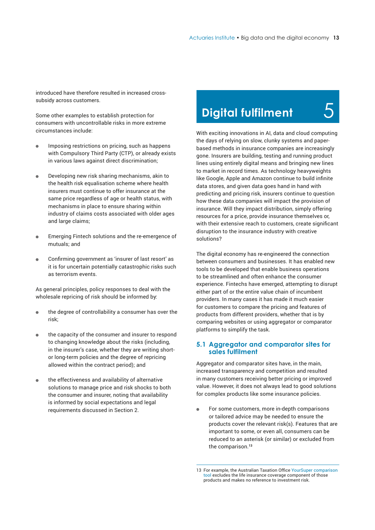<span id="page-12-0"></span>introduced have therefore resulted in increased crosssubsidy across customers.

Some other examples to establish protection for consumers with uncontrollable risks in more extreme circumstances include:

- $\bullet$ Imposing restrictions on pricing, such as happens with Compulsory Third Party (CTP), or already exists in various laws against direct discrimination;
- Developing new risk sharing mechanisms, akin to the health risk equalisation scheme where health insurers must continue to offer insurance at the same price regardless of age or health status, with mechanisms in place to ensure sharing within industry of claims costs associated with older ages and large claims;
- Emerging Fintech solutions and the re-emergence of mutuals; and
- Confirming government as 'insurer of last resort' as it is for uncertain potentially catastrophic risks such as terrorism events.

As general principles, policy responses to deal with the wholesale repricing of risk should be informed by:

- the degree of controllability a consumer has over the risk;
- the capacity of the consumer and insurer to respond to changing knowledge about the risks (including, in the insurer's case, whether they are writing shortor long-term policies and the degree of repricing allowed within the contract period); and
- the effectiveness and availability of alternative solutions to manage price and risk shocks to both the consumer and insurer, noting that availability is informed by social expectations and legal requirements discussed in Section 2.

# **Digital fulfilment**

5

With exciting innovations in AI, data and cloud computing the days of relying on slow, clunky systems and paperbased methods in insurance companies are increasingly gone. Insurers are building, testing and running product lines using entirely digital means and bringing new lines to market in record times. As technology heavyweights like Google, Apple and Amazon continue to build infinite data stores, and given data goes hand in hand with predicting and pricing risk, insurers continue to question how these data companies will impact the provision of insurance. Will they impact distribution, simply offering resources for a price, provide insurance themselves or, with their extensive reach to customers, create significant disruption to the insurance industry with creative solutions?

The digital economy has re-engineered the connection between consumers and businesses. It has enabled new tools to be developed that enable business operations to be streamlined and often enhance the consumer experience. Fintechs have emerged, attempting to disrupt either part of or the entire value chain of incumbent providers. In many cases it has made it much easier for customers to compare the pricing and features of products from different providers, whether that is by comparing websites or using aggregator or comparator platforms to simplify the task.

#### **5.1 Aggregator and comparator sites for sales fulfilment**

Aggregator and comparator sites have, in the main, increased transparency and competition and resulted in many customers receiving better pricing or improved value. However, it does not always lead to good solutions for complex products like some insurance policies.

 $\bullet$ For some customers, more in-depth comparisons or tailored advice may be needed to ensure the products cover the relevant risk(s). Features that are important to some, or even all, consumers can be reduced to an asterisk (or similar) or excluded from the comparison.**<sup>13</sup>**

<sup>13</sup> For example, the Australian Taxation Office YourSuper comparison tool excludes the life insurance coverage component of those products and makes no reference to investment risk.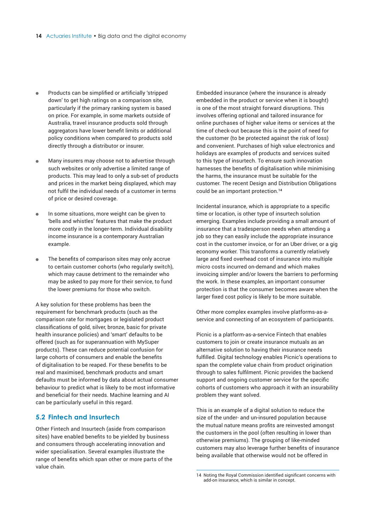- <span id="page-13-0"></span>Products can be simplified or artificially 'stripped down' to get high ratings on a comparison site, particularly if the primary ranking system is based on price. For example, in some markets outside of Australia, travel insurance products sold through aggregators have lower benefit limits or additional policy conditions when compared to products sold directly through a distributor or insurer.
- Many insurers may choose not to advertise through such websites or only advertise a limited range of products. This may lead to only a sub-set of products and prices in the market being displayed, which may not fulfil the individual needs of a customer in terms of price or desired coverage.
- In some situations, more weight can be given to 'bells and whistles' features that make the product more costly in the longer-term. Individual disability income insurance is a contemporary Australian example.
- The benefits of comparison sites may only accrue to certain customer cohorts (who regularly switch), which may cause detriment to the remainder who may be asked to pay more for their service, to fund the lower premiums for those who switch.

A key solution for these problems has been the requirement for benchmark products (such as the comparison rate for mortgages or legislated product classifications of gold, silver, bronze, basic for private health insurance policies) and 'smart' defaults to be offered (such as for superannuation with MySuper products). These can reduce potential confusion for large cohorts of consumers and enable the benefits of digitalisation to be reaped. For these benefits to be real and maximised, benchmark products and smart defaults must be informed by data about actual consumer behaviour to predict what is likely to be most informative and beneficial for their needs. Machine learning and AI can be particularly useful in this regard.

#### **5.2 Fintech and Insurtech**

Other Fintech and Insurtech (aside from comparison sites) have enabled benefits to be yielded by business and consumers through accelerating innovation and wider specialisation. Several examples illustrate the range of benefits which span other or more parts of the value chain.

Embedded insurance (where the insurance is already embedded in the product or service when it is bought) is one of the most straight forward disruptions. This involves offering optional and tailored insurance for online purchases of higher value items or services at the time of check-out because this is the point of need for the customer (to be protected against the risk of loss) and convenient. Purchases of high value electronics and holidays are examples of products and services suited to this type of insurtech. To ensure such innovation harnesses the benefits of digitalisation while minimising the harms, the insurance must be suitable for the customer. The recent Design and Distribution Obligations could be an important protection.**<sup>14</sup>**

Incidental insurance, which is appropriate to a specific time or location, is other type of insurtech solution emerging. Examples include providing a small amount of insurance that a tradesperson needs when attending a job so they can easily include the appropriate insurance cost in the customer invoice, or for an Uber driver, or a gig economy worker. This transforms a currently relatively large and fixed overhead cost of insurance into multiple micro costs incurred on-demand and which makes invoicing simpler and/or lowers the barriers to performing the work. In these examples, an important consumer protection is that the consumer becomes aware when the larger fixed cost policy is likely to be more suitable.

Other more complex examples involve platforms-as-aservice and connecting of an ecosystem of participants.

Picnic is a platform-as-a-service Fintech that enables customers to join or create insurance mutuals as an alternative solution to having their insurance needs fulfilled. Digital technology enables Picnic's operations to span the complete value chain from product origination through to sales fulfilment. Picnic provides the backend support and ongoing customer service for the specific cohorts of customers who approach it with an insurability problem they want solved.

This is an example of a digital solution to reduce the size of the under- and un-insured population because the mutual nature means profits are reinvested amongst the customers in the pool (often resulting in lower than otherwise premiums). The grouping of like-minded customers may also leverage further benefits of insurance being available that otherwise would not be offered in

<sup>14</sup> Noting the Royal Commission identified significant concerns with add-on insurance, which is similar in concept.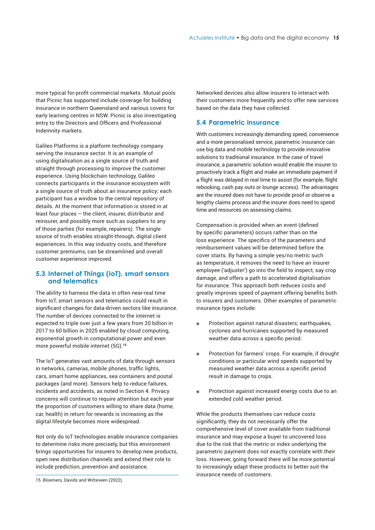<span id="page-14-0"></span>more typical for-profit commercial markets. Mutual pools that Picnic has supported include coverage for building insurance in northern Queensland and various covers for early learning centres in NSW. Picnic is also investigating entry to the Directors and Officers and Professional Indemnity markets.

Galileo Platforms is a platform technology company serving the insurance sector. It is an example of using digitalisation as a single source of truth and straight through processing to improve the customer experience. Using blockchain technology, Galileo connects participants in the insurance ecosystem with a single source of truth about an insurance policy; each participant has a window to the central repository of details. At the moment that information is stored in at least four places – the client, insurer, distributor and reinsurer, and possibly more such as suppliers to any of those parties (for example, repairers). The single source of truth enables straight-through, digital client experiences. In this way industry costs, and therefore customer premiums, can be streamlined and overall customer experience improved.

#### **5.3 Internet of Things (IoT), smart sensors and telematics**

The ability to harness the data in often near-real time from IoT, smart sensors and telematics could result in significant changes for data-driven sectors like insurance. The number of devices connected to the internet is expected to triple over just a few years from 20 billion in 2017 to 60 billion in 2025 enabled by cloud computing, exponential growth in computational power and even more powerful mobile internet (5G).**<sup>15</sup>**

The IoT generates vast amounts of data through sensors in networks, cameras, mobile phones, traffic lights, cars, smart home appliances, sea containers and postal packages (and more). Sensors help to reduce failures, incidents and accidents, as noted in Section 4. Privacy concerns will continue to require attention but each year the proportion of customers willing to share data (home, car, health) in return for rewards is increasing as the digital lifestyle becomes more widespread.

Not only do IoT technologies enable insurance companies to determine risks more precisely, but this environment brings opportunities for insurers to develop new products, open new distribution channels and extend their role to include prediction, prevention and assistance.

Networked devices also allow insurers to interact with their customers more frequently and to offer new services based on the data they have collected.

#### **5.4 Parametric insurance**

With customers increasingly demanding speed, convenience and a more personalised service, parametric insurance can use big data and mobile technology to provide innovative solutions to traditional insurance. In the case of travel insurance, a parametric solution would enable the insurer to proactively track a flight and make an immediate payment if a flight was delayed in real time to assist (for example, flight rebooking, cash pay outs or lounge access). The advantages are the insured does not have to provide proof or observe a lengthy claims process and the insurer does need to spend time and resources on assessing claims.

Compensation is provided when an event (defined by specific parameters) occurs rather than on the loss experience. The specifics of the parameters and reimbursement values will be determined before the cover starts. By having a simple yes/no metric such as temperature, it removes the need to have an insurer employee ('adjuster') go into the field to inspect, say crop damage, and offers a path to accelerated digitalisation for insurance. This approach both reduces costs and greatly improves speed of payment offering benefits both to insurers and customers. Other examples of parametric insurance types include:

- Protection against natural disasters; earthquakes,  $\bullet$ cyclones and hurricanes supported by measured weather data across a specific period.
- Protection for farmers' crops. For example, if drought  $\bullet$ conditions or particular wind speeds supported by measured weather data across a specific period result in damage to crops.
- Protection against increased energy costs due to an  $\bullet$ extended cold weather period.

While the products themselves can reduce costs significantly, they do not necessarily offer the comprehensive level of cover available from traditional insurance and may expose a buyer to uncovered loss due to the risk that the metric or index underlying the parametric payment does not exactly correlate with their loss. However, going forward there will be more potential to increasingly adapt these products to better suit the insurance needs of customers.

<sup>15</sup> Bloemers, Davids and Witteveen (2022).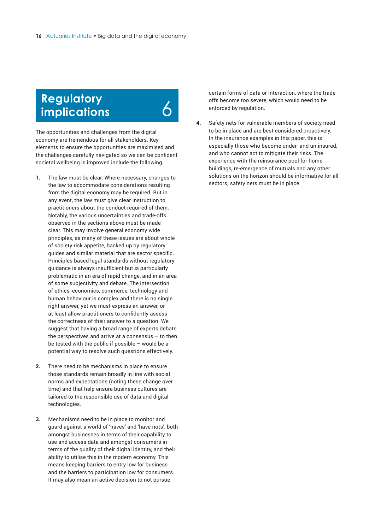# <span id="page-15-0"></span>**Regulatory implications**

6

The opportunities and challenges from the digital economy are tremendous for all stakeholders. Key elements to ensure the opportunities are maximised and the challenges carefully navigated so we can be confident societal wellbeing is improved include the following.

- **1.** The law must be clear. Where necessary, changes to the law to accommodate considerations resulting from the digital economy may be required. But in any event, the law must give clear instruction to practitioners about the conduct required of them. Notably, the various uncertainties and trade-offs observed in the sections above must be made clear. This may involve general economy wide principles, as many of these issues are about whole of society risk appetite, backed up by regulatory guides and similar material that are sector specific. Principles based legal standards without regulatory guidance is always insufficient but is particularly problematic in an era of rapid change, and in an area of some subjectivity and debate. The intersection of ethics, economics, commerce, technology and human behaviour is complex and there is no single right answer, yet we must express an answer, or at least allow practitioners to confidently assess the correctness of their answer to a question. We suggest that having a broad range of experts debate the perspectives and arrive at a consensus – to then be tested with the public if possible – would be a potential way to resolve such questions effectively.
- **2.** There need to be mechanisms in place to ensure those standards remain broadly in line with social norms and expectations (noting these change over time) and that help ensure business cultures are tailored to the responsible use of data and digital technologies.
- **3.** Mechanisms need to be in place to monitor and guard against a world of 'haves' and 'have-nots', both amongst businesses in terms of their capability to use and access data and amongst consumers in terms of the quality of their digital identity, and their ability to utilise this in the modern economy. This means keeping barriers to entry low for business and the barriers to participation low for consumers. It may also mean an active decision to not pursue

certain forms of data or interaction, where the tradeoffs become too severe, which would need to be enforced by regulation.

**4.** Safety nets for vulnerable members of society need to be in place and are best considered proactively. In the insurance examples in this paper, this is especially those who become under- and un-insured, and who cannot act to mitigate their risks. The experience with the reinsurance pool for home buildings, re-emergence of mutuals and any other solutions on the horizon should be informative for all sectors; safety nets must be in place.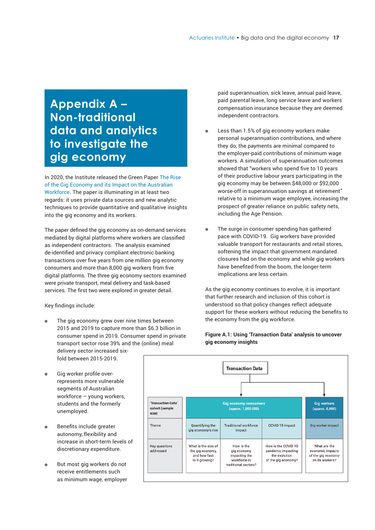# <span id="page-16-0"></span>**Appendix A – Non-traditional data and analytics to investigate the gig economy**

In 2020, the Institute released the Green Paper The Rise of the Gig Economy and its Impact on the Australian Workforce. The paper is illuminating in at least two regards: it uses private data sources and new analytic techniques to provide quantitative and qualitative insights into the gig economy and its workers.

The paper defined the gig economy as on-demand services mediated by digital platforms where workers are classified as independent contractors. The analysis examined de-identified and privacy compliant electronic banking transactions over five years from one million gig economy consumers and more than 8,000 gig workers from five digital platforms. The three gig economy sectors examined were private transport, meal delivery and task-based services. The first two were explored in greater detail.

Key findings include:

- The gig economy grew over nine times between 2015 and 2019 to capture more than \$6.3 billion in consumer spend in 2019. Consumer spend in private transport sector rose 39% and the (online) meal delivery sector increased sixfold between 2015-2019.
- Gig worker profile overrepresents more vulnerable segments of Australian workforce – young workers, students and the formerly unemployed.
- Benefits include greater autonomy, flexibility and increase in short-term levels of discretionary expenditure.
- But most gig workers do not receive entitlements such as minimum wage, employer

paid superannuation, sick leave, annual paid leave, paid parental leave, long service leave and workers compensation insurance because they are deemed independent contractors.

- Less than 1.5% of gig economy workers make personal superannuation contributions, and where they do, the payments are minimal compared to the employer-paid contributions of minimum wage workers. A simulation of superannuation outcomes showed that "workers who spend five to 10 years of their productive labour years participating in the gig economy may be between \$48,000 or \$92,000 worse-off in superannuation savings at retirement" relative to a minimum wage employee, increasing the prospect of greater reliance on public safety nets, including the Age Pension.
- The surge in consumer spending has gathered pace with COVID-19. Gig workers have provided valuable transport for restaurants and retail stores, softening the impact that government mandated closures had on the economy and while gig workers have benefited from the boom, the longer-term implications are less certain.

As the gig economy continues to evolve, it is important that further research and inclusion of this cohort is understood so that policy changes reflect adequate support for these workers without reducing the benefits to the economy from the gig workforce.

#### **Figure A.1: Using 'Transaction Data' analysis to uncover gig economy insights**

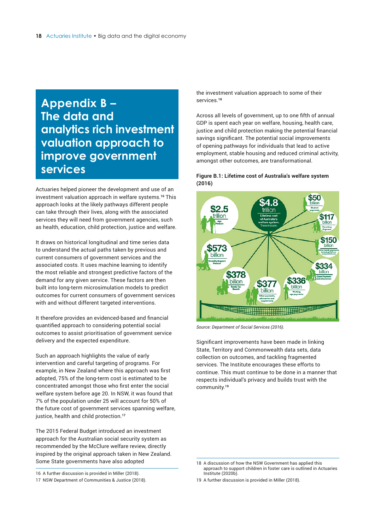### <span id="page-17-0"></span>**Appendix B – The data and analytics rich investment valuation approach to improve government services**

Actuaries helped pioneer the development and use of an investment valuation approach in welfare systems.**<sup>16</sup>** This approach looks at the likely pathways different people can take through their lives, along with the associated services they will need from government agencies, such as health, education, child protection, justice and welfare.

It draws on historical longitudinal and time series data to understand the actual paths taken by previous and current consumers of government services and the associated costs. It uses machine learning to identify the most reliable and strongest predictive factors of the demand for any given service. These factors are then built into long-term microsimulation models to predict outcomes for current consumers of government services with and without different targeted interventions.

It therefore provides an evidenced-based and financial quantified approach to considering potential social outcomes to assist prioritisation of government service delivery and the expected expenditure.

Such an approach highlights the value of early intervention and careful targeting of programs. For example, in New Zealand where this approach was first adopted, 75% of the long-term cost is estimated to be concentrated amongst those who first enter the social welfare system before age 20. In NSW, it was found that 7% of the population under 25 will account for 50% of the future cost of government services spanning welfare, justice, health and child protection.**<sup>17</sup>**

The 2015 Federal Budget introduced an investment approach for the Australian social security system as recommended by the McClure welfare review, directly inspired by the original approach taken in New Zealand. Some State governments have also adopted

16 A further discussion is provided in Miller (2018).

17 NSW Department of Communities & Justice (2018).

the investment valuation approach to some of their services.**<sup>18</sup>**

Across all levels of government, up to one fifth of annual GDP is spent each year on welfare, housing, health care, justice and child protection making the potential financial savings significant. The potential social improvements of opening pathways for individuals that lead to active employment, stable housing and reduced criminal activity, amongst other outcomes, are transformational.

#### **Figure B.1: Lifetime cost of Australia's welfare system (2016)**



*Source: Department of Social Services (2016).*

Significant improvements have been made in linking State, Territory and Commonwealth data sets, data collection on outcomes, and tackling fragmented services. The Institute encourages these efforts to continue. This must continue to be done in a manner that respects individual's privacy and builds trust with the community.**<sup>19</sup>**

<sup>18</sup> A discussion of how the NSW Government has applied this approach to support children in foster care is outlined in Actuaries Institute (2020b).

<sup>19</sup> A further discussion is provided in Miller (2018).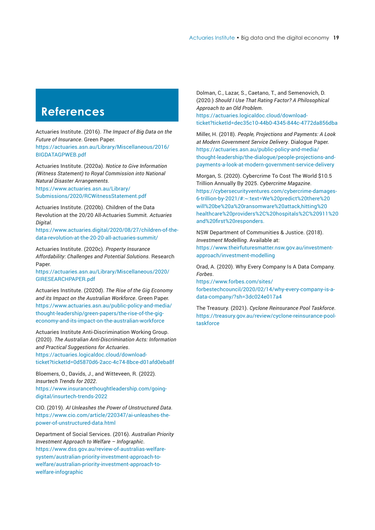# <span id="page-18-0"></span>**References**

Actuaries Institute. (2016). *The Impact of Big Data on the Future of Insurance*. Green Paper. [https://actuaries.asn.au/Library/Miscellaneous/2016/](https://actuaries.asn.au/Library/Miscellaneous/2016/BIGDATAGPWEB.pdf)

BIGDATAGPWEB.pdf

Actuaries Institute. (2020a). *Notice to Give Information (Witness Statement) to Royal Commission into National Natural Disaster Arrangements*.

https://www.actuaries.asn.au/Library/ [Submissions/2020/RCWitnessStatement.pdf](https://www.actuaries.asn.au/Library/Submissions/2020/RCWitnessStatement.pdf) 

Actuaries Institute. (2020b). Children of the Data Revolution at the 20/20 All-Actuaries Summit. *Actuaries Digital*.

[https://www.actuaries.digital/2020/08/27/children-of-the](https://www.actuaries.digital/2020/08/27/children-of-the-data-revolution-at-the-20-20-all-actuaries-summit/)data-revolution-at-the-20-20-all-actuaries-summit/

Actuaries Institute. (2020c). *Property Insurance Affordability: Challenges and Potential Solutions*. Research Paper.

[https://actuaries.asn.au/Library/Miscellaneous/2020/](https://actuaries.asn.au/Library/Miscellaneous/2020/GIRESEARCHPAPER.pdf) GIRESEARCHPAPER.pdf

Actuaries Institute. (2020d). *The Rise of the Gig Economy and its Impact on the Australian Workforce*. Green Paper. [https://www.actuaries.asn.au/public-policy-and-media/](https://www.actuaries.asn.au/public-policy-and-media/thought-leadership/green-papers/the-rise-of-the-gig-economy-and-its-impact-on-the-australian-workforce) thought-leadership/green-papers/the-rise-of-the-gigeconomy-and-its-impact-on-the-australian-workforce

Actuaries Institute Anti-Discrimination Working Group. (2020). *The Australian Anti-Discrimination Acts: Information and Practical Suggestions for Actuaries*. https://actuaries.logicaldoc.cloud/download[ticket?ticketId=0d5870d6-2acc-4c74-8bce-d01afd0eba8f](https://actuaries.logicaldoc.cloud/download-ticket?ticketId=0d5870d6-2acc-4c74-8bce-d01afd0eba8f)

Bloemers, O., Davids, J., and Witteveen, R. (2022)*. Insurtech Trends for 2022*.

[https://www.insurancethoughtleadership.com/going](https://www.insurancethoughtleadership.com/going-digital/insurtech-trends-2022)digital/insurtech-trends-2022

CIO. (2019). *AI Unleashes the Power of Unstructured Data*. [https://www.cio.com/article/220347/ai-unleashes-the](https://www.cio.com/article/220347/ai-unleashes-the-power-of-unstructured-data.html)power-of-unstructured-data.html

Department of Social Services. (2016). *Australian Priority Investment Approach to Welfare – Infographic*. [https://www.dss.gov.au/review-of-australias-welfare](https://www.dss.gov.au/review-of-australias-welfare-system/australian-priority-investment-approach-to-welfare/australian-priority-investment-approach-to-welfare-infographic)system/australian-priority-investment-approach-towelfare/australian-priority-investment-approach-towelfare-infographic

Dolman, C., Lazar, S., Caetano, T., and Semenovich, D. (2020.) *Should I Use That Rating Factor? A Philosophical Approach to an Old Problem*.

https://actuaries.logicaldoc.cloud/download[ticket?ticketId=dec35c10-44b0-4345-844c-4772da856dba](https://actuaries.logicaldoc.cloud/download-ticket?ticketId=dec35c10-44b0-4345-844c-4772da856dba)

Miller, H. (2018). *People, Projections and Payments: A Look at Modern Government Service Delivery*. Dialogue Paper. https://actuaries.asn.au/public-policy-and-media/ [thought-leadership/the-dialogue/people-projections-and](https://actuaries.asn.au/public-policy-and-media/thought-leadership/the-dialogue/people-projections-and-payments-a-look-at-modern-government-service-delivery)payments-a-look-at-modern-government-service-delivery

Morgan, S. (2020). Cybercrime To Cost The World \$10.5 Trillion Annually By 2025. *Cybercrime Magazine*. https://cybersecurityventures.com/cybercrime-damages-6-trillion-by-2021/#:~:text=We%20predict%20there%20 will%20be%20a%20ransomware%20attack,hitting%20 [healthcare%20providers%2C%20hospitals%2C%20911%20](https://cybersecurityventures.com/cybercrime-damages-6-trillion-by-2021/#:~:text=We%20predict%20there%20will%20be%20a%20ransomware%20attack,hitting%20healthcare%20providers%2C%20hospitals%2C%20911%20and%20first%20responders.) and%20first%20responders.

NSW Department of Communities & Justice. (2018). *Investment Modelling*. Available at:

[https://www.theirfuturesmatter.nsw.gov.au/investment](https://www.theirfuturesmatter.nsw.gov.au/investment-approach/investment-modelling)approach/investment-modelling

Orad, A. (2020). Why Every Company Is A Data Company. *Forbes*.

https://www.forbes.com/sites/ [forbestechcouncil/2020/02/14/why-every-company-is-a](https://www.forbes.com/sites/forbestechcouncil/2020/02/14/why-every-company-is-a-data-company/?sh=3dc024e017a4)data-company/?sh=3dc024e017a4

The Treasury. (2021). *Cyclone Reinsurance Pool Taskforce*. [https://treasury.gov.au/review/cyclone-reinsurance-pool](https://treasury.gov.au/review/cyclone-reinsurance-pool-taskforce)taskforce